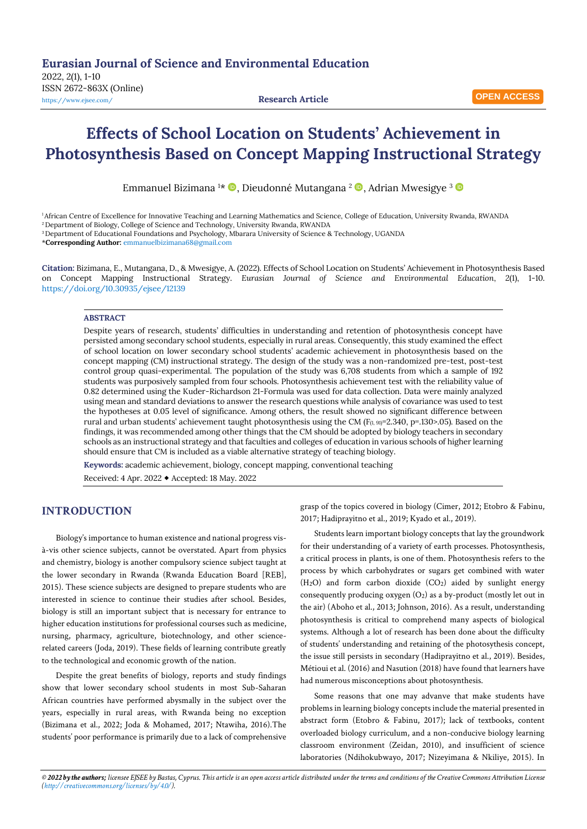**OPEN ACCESS**

# **Effects of School Location on Students' Achievement in Photosynthesis Based on Concept Mapping Instructional Strategy**

Emmanuel Bizimana 1\* ®, Dieudonné Mutangana <sup>2</sup> ®, Adrian Mwesigye <sup>3</sup>

<sup>1</sup>African Centre of Excellence for Innovative Teaching and Learning Mathematics and Science, College of Education, University Rwanda, RWANDA

<sup>2</sup> Department of Biology, College of Science and Technology, University Rwanda, RWANDA

<sup>3</sup>Department of Educational Foundations and Psychology, Mbarara University of Science & Technology, UGANDA

\***Corresponding Author:** [emmanuelbizimana68@gmail.com](mailto:emmanuelbizimana68@gmail.com)

**Citation:** Bizimana, E., Mutangana, D., & Mwesigye, A. (2022). Effects of School Location on Students' Achievement in Photosynthesis Based on Concept Mapping Instructional Strategy. *Eurasian Journal of Science and Environmental Education, 2*(1), 1-10. <https://doi.org/10.30935/ejsee/12139>

### **ABSTRACT**

Despite years of research, students' difficulties in understanding and retention of photosynthesis concept have persisted among secondary school students, especially in rural areas. Consequently, this study examined the effect of school location on lower secondary school students' academic achievement in photosynthesis based on the concept mapping (CM) instructional strategy. The design of the study was a non-randomized pre-test, post-test control group quasi-experimental. The population of the study was 6,708 students from which a sample of 192 students was purposively sampled from four schools. Photosynthesis achievement test with the reliability value of 0.82 determined using the Kuder-Richardson 21-Formula was used for data collection. Data were mainly analyzed using mean and standard deviations to answer the research questions while analysis of covariance was used to test the hypotheses at 0.05 level of significance. Among others, the result showed no significant difference between rural and urban students' achievement taught photosynthesis using the CM ( $F_{(1.91)}=2.340$ , p=.130>.05). Based on the findings, it was recommended among other things that the CM should be adopted by biology teachers in secondary schools as an instructional strategy and that faculties and colleges of education in various schools of higher learning should ensure that CM is included as a viable alternative strategy of teaching biology.

**Keywords:** academic achievement, biology, concept mapping, conventional teaching Received: 4 Apr. 2022 Accepted: 18 May. 2022

# **INTRODUCTION**

Biology's importance to human existence and national progress visà-vis other science subjects, cannot be overstated. Apart from physics and chemistry, biology is another compulsory science subject taught at the lower secondary in Rwanda (Rwanda Education Board [REB], 2015). These science subjects are designed to prepare students who are interested in science to continue their studies after school. Besides, biology is still an important subject that is necessary for entrance to higher education institutions for professional courses such as medicine, nursing, pharmacy, agriculture, biotechnology, and other sciencerelated careers (Joda, 2019). These fields of learning contribute greatly to the technological and economic growth of the nation.

Despite the great benefits of biology, reports and study findings show that lower secondary school students in most Sub-Saharan African countries have performed abysmally in the subject over the years, especially in rural areas, with Rwanda being no exception (Bizimana et al., 2022; Joda & Mohamed, 2017; Ntawiha, 2016).The students' poor performance is primarily due to a lack of comprehensive grasp of the topics covered in biology (Cimer, 2012; Etobro & Fabinu, 2017; Hadiprayitno et al., 2019; Kyado et al., 2019).

Students learn important biology concepts that lay the groundwork for their understanding of a variety of earth processes. Photosynthesis, a critical process in plants, is one of them. Photosynthesis refers to the process by which carbohydrates or sugars get combined with water (H2O) and form carbon dioxide (CO2) aided by sunlight energy consequently producing oxygen (O2) as a by-product (mostly let out in the air) (Aboho et al., 2013; Johnson, 2016). As a result, understanding photosynthesis is critical to comprehend many aspects of biological systems. Although a lot of research has been done about the difficulty of students' understanding and retaining of the photosythesis concept, the issue still persists in secondary (Hadiprayitno et al., 2019). Besides, Métioui et al. (2016) and Nasution (2018) have found that learners have had numerous misconceptions about photosynthesis.

Some reasons that one may advanve that make students have problems in learning biology concepts include the material presented in abstract form (Etobro & Fabinu, 2017); lack of textbooks, content overloaded biology curriculum, and a non-conducive biology learning classroom environment (Zeidan, 2010), and insufficient of science laboratories (Ndihokubwayo, 2017; Nizeyimana & Nkiliye, 2015). In

*© 2022 by the authors; licensee EJSEE by Bastas, Cyprus. This article is an open access article distributed under the terms and conditions of the Creative Commons Attribution License [\(http://creativecommons.org/licenses/by/4.0/\)](http://creativecommons.org/licenses/by/4.0/).*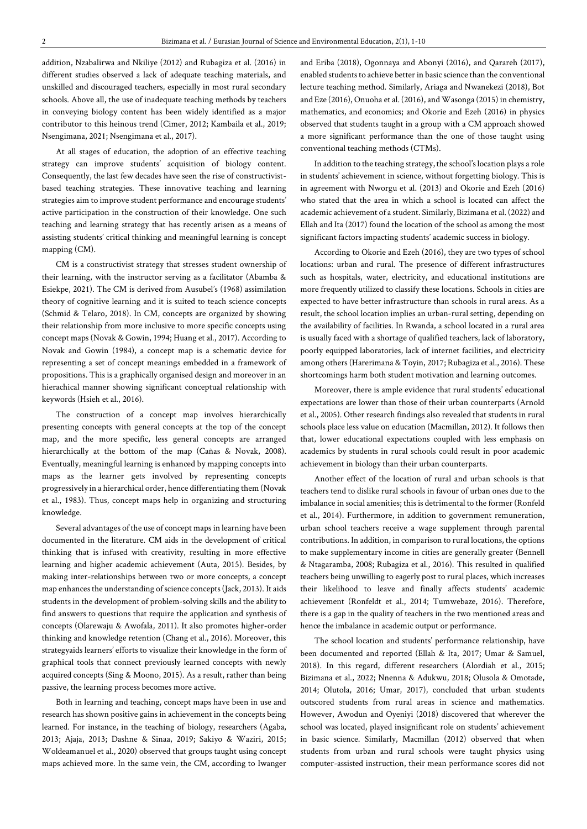addition, Nzabalirwa and Nkiliye (2012) and Rubagiza et al. (2016) in different studies observed a lack of adequate teaching materials, and unskilled and discouraged teachers, especially in most rural secondary schools. Above all, the use of inadequate teaching methods by teachers in conveying biology content has been widely identified as a major contributor to this heinous trend (Cimer, 2012; Kambaila et al., 2019; Nsengimana, 2021; Nsengimana et al., 2017).

At all stages of education, the adoption of an effective teaching strategy can improve students' acquisition of biology content. Consequently, the last few decades have seen the rise of constructivistbased teaching strategies. These innovative teaching and learning strategies aim to improve student performance and encourage students' active participation in the construction of their knowledge. One such teaching and learning strategy that has recently arisen as a means of assisting students' critical thinking and meaningful learning is concept mapping (CM).

CM is a constructivist strategy that stresses student ownership of their learning, with the instructor serving as a facilitator (Abamba & Esiekpe, 2021). The CM is derived from Ausubel's (1968) assimilation theory of cognitive learning and it is suited to teach science concepts (Schmid & Telaro, 2018). In CM, concepts are organized by showing their relationship from more inclusive to more specific concepts using concept maps (Novak & Gowin, 1994; Huang et al., 2017). According to Novak and Gowin (1984), a concept map is a schematic device for representing a set of concept meanings embedded in a framework of propositions. This is a graphically organised design and moreover in an hierachical manner showing significant conceptual relationship with keywords (Hsieh et al., 2016).

The construction of a concept map involves hierarchically presenting concepts with general concepts at the top of the concept map, and the more specific, less general concepts are arranged hierarchically at the bottom of the map (Cañas & Novak, 2008). Eventually, meaningful learning is enhanced by mapping concepts into maps as the learner gets involved by representing concepts progressively in a hierarchical order, hence differentiating them (Novak et al., 1983). Thus, concept maps help in organizing and structuring knowledge.

Several advantages of the use of concept maps in learning have been documented in the literature. CM aids in the development of critical thinking that is infused with creativity, resulting in more effective learning and higher academic achievement (Auta, 2015). Besides, by making inter-relationships between two or more concepts, a concept map enhances the understanding of science concepts (Jack, 2013). It aids students in the development of problem-solving skills and the ability to find answers to questions that require the application and synthesis of concepts (Olarewaju & Awofala, 2011). It also promotes higher-order thinking and knowledge retention (Chang et al., 2016). Moreover, this strategyaids learners' efforts to visualize their knowledge in the form of graphical tools that connect previously learned concepts with newly acquired concepts (Sing & Moono, 2015). As a result, rather than being passive, the learning process becomes more active.

Both in learning and teaching, concept maps have been in use and research has shown positive gains in achievement in the concepts being learned. For instance, in the teaching of biology, researchers (Agaba, 2013; Ajaja, 2013; Dashne & Sinaa, 2019; Sakiyo & Waziri, 2015; Woldeamanuel et al., 2020) observed that groups taught using concept maps achieved more. In the same vein, the CM, according to Iwanger

and Eriba (2018), Ogonnaya and Abonyi (2016), and Qarareh (2017), enabled students to achieve better in basic science than the conventional lecture teaching method. Similarly, Ariaga and Nwanekezi (2018), Bot and Eze (2016), Onuoha et al. (2016), and Wasonga (2015) in chemistry, mathematics, and economics; and Okorie and Ezeh (2016) in physics observed that students taught in a group with a CM approach showed a more significant performance than the one of those taught using conventional teaching methods (CTMs).

In addition to the teaching strategy, the school's location plays a role in students' achievement in science, without forgetting biology. This is in agreement with Nworgu et al. (2013) and Okorie and Ezeh (2016) who stated that the area in which a school is located can affect the academic achievement of a student. Similarly, Bizimana et al. (2022) and Ellah and Ita (2017) found the location of the school as among the most significant factors impacting students' academic success in biology.

According to Okorie and Ezeh (2016), they are two types of school locations: urban and rural. The presence of different infrastructures such as hospitals, water, electricity, and educational institutions are more frequently utilized to classify these locations. Schools in cities are expected to have better infrastructure than schools in rural areas. As a result, the school location implies an urban-rural setting, depending on the availability of facilities. In Rwanda, a school located in a rural area is usually faced with a shortage of qualified teachers, lack of laboratory, poorly equipped laboratories, lack of internet facilities, and electricity among others (Harerimana & Toyin, 2017; Rubagiza et al., 2016). These shortcomings harm both student motivation and learning outcomes.

Moreover, there is ample evidence that rural students' educational expectations are lower than those of their urban counterparts (Arnold et al., 2005). Other research findings also revealed that students in rural schools place less value on education (Macmillan, 2012). It follows then that, lower educational expectations coupled with less emphasis on academics by students in rural schools could result in poor academic achievement in biology than their urban counterparts.

Another effect of the location of rural and urban schools is that teachers tend to dislike rural schools in favour of urban ones due to the imbalance in social amenities; this is detrimental to the former (Ronfeld et al., 2014). Furthermore, in addition to government remuneration, urban school teachers receive a wage supplement through parental contributions. In addition, in comparison to rural locations, the options to make supplementary income in cities are generally greater (Bennell & Ntagaramba, 2008; Rubagiza et al., 2016). This resulted in qualified teachers being unwilling to eagerly post to rural places, which increases their likelihood to leave and finally affects students' academic achievement (Ronfeldt et al., 2014; Tumwebaze, 2016). Therefore, there is a gap in the quality of teachers in the two mentioned areas and hence the imbalance in academic output or performance.

The school location and students' performance relationship, have been documented and reported (Ellah & Ita, 2017; Umar & Samuel, 2018). In this regard, different researchers (Alordiah et al., 2015; Bizimana et al., 2022; Nnenna & Adukwu, 2018; Olusola & Omotade, 2014; Olutola, 2016; Umar, 2017), concluded that urban students outscored students from rural areas in science and mathematics. However, Awodun and Oyeniyi (2018) discovered that wherever the school was located, played insignificant role on students' achievement in basic science. Similarly, Macmillan (2012) observed that when students from urban and rural schools were taught physics using computer-assisted instruction, their mean performance scores did not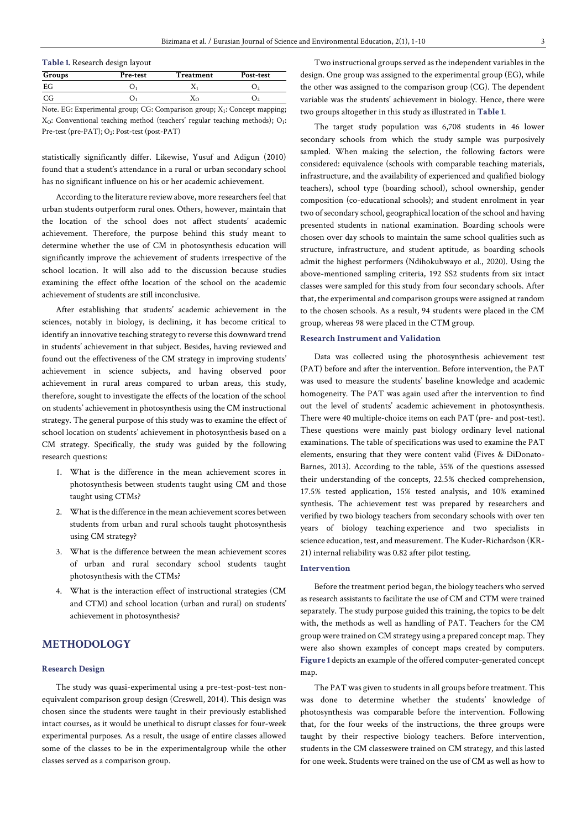#### **Table 1.** Research design layout

| Groups | Pre-test                                                                                                     | Treatment | Post-test |
|--------|--------------------------------------------------------------------------------------------------------------|-----------|-----------|
| EG     |                                                                                                              |           |           |
| CG     |                                                                                                              |           |           |
|        | $N_{obs}$ , $FC$ , $F_{cross}$ and $I_{cross}$ , $FC$ , $C_{cons}$ and $S_{cons}$ , $V$ , $C_{cons}$ and $m$ |           |           |

Note. EG: Experimental group; CG: Comparison group; X<sub>1</sub>: Concept mapping;  $X<sub>O</sub>$ : Conventional teaching method (teachers' regular teaching methods); O<sub>1</sub>: Pre-test (pre-PAT); O<sub>2</sub>: Post-test (post-PAT)

statistically significantly differ. Likewise, Yusuf and Adigun (2010) found that a student's attendance in a rural or urban secondary school has no significant influence on his or her academic achievement.

According to the literature review above, more researchers feel that urban students outperform rural ones. Others, however, maintain that the location of the school does not affect students' academic achievement. Therefore, the purpose behind this study meant to determine whether the use of CM in photosynthesis education will significantly improve the achievement of students irrespective of the school location. It will also add to the discussion because studies examining the effect ofthe location of the school on the academic achievement of students are still inconclusive.

After establishing that students' academic achievement in the sciences, notably in biology, is declining, it has become critical to identify an innovative teaching strategy to reverse this downward trend in students' achievement in that subject. Besides, having reviewed and found out the effectiveness of the CM strategy in improving students' achievement in science subjects, and having observed poor achievement in rural areas compared to urban areas, this study, therefore, sought to investigate the effects of the location of the school on students' achievement in photosynthesis using the CM instructional strategy. The general purpose of this study was to examine the effect of school location on students' achievement in photosynthesis based on a CM strategy. Specifically, the study was guided by the following research questions:

- 1. What is the difference in the mean achievement scores in photosynthesis between students taught using CM and those taught using CTMs?
- 2. What is the difference in the mean achievement scores between students from urban and rural schools taught photosynthesis using CM strategy?
- 3. What is the difference between the mean achievement scores of urban and rural secondary school students taught photosynthesis with the CTMs?
- 4. What is the interaction effect of instructional strategies (CM and CTM) and school location (urban and rural) on students' achievement in photosynthesis?

# **METHODOLOGY**

#### **Research Design**

The study was quasi-experimental using a pre-test-post-test nonequivalent comparison group design (Creswell, 2014). This design was chosen since the students were taught in their previously established intact courses, as it would be unethical to disrupt classes for four-week experimental purposes. As a result, the usage of entire classes allowed some of the classes to be in the experimentalgroup while the other classes served as a comparison group.

Two instructional groups served as the independent variables in the design. One group was assigned to the experimental group (EG), while the other was assigned to the comparison group (CG). The dependent variable was the students' achievement in biology. Hence, there were two groups altogether in this study as illustrated in **Table 1**.

The target study population was 6,708 students in 46 lower secondary schools from which the study sample was purposively sampled. When making the selection, the following factors were considered: equivalence (schools with comparable teaching materials, infrastructure, and the availability of experienced and qualified biology teachers), school type (boarding school), school ownership, gender composition (co-educational schools); and student enrolment in year two of secondary school, geographical location of the school and having presented students in national examination. Boarding schools were chosen over day schools to maintain the same school qualities such as structure, infrastructure, and student aptitude, as boarding schools admit the highest performers (Ndihokubwayo et al., 2020). Using the above-mentioned sampling criteria, 192 SS2 students from six intact classes were sampled for this study from four secondary schools. After that, the experimental and comparison groups were assigned at random to the chosen schools. As a result, 94 students were placed in the CM group, whereas 98 were placed in the CTM group.

### **Research Instrument and Validation**

Data was collected using the photosynthesis achievement test (PAT) before and after the intervention. Before intervention, the PAT was used to measure the students' baseline knowledge and academic homogeneity. The PAT was again used after the intervention to find out the level of students' academic achievement in photosynthesis. There were 40 multiple-choice items on each PAT (pre- and post-test). These questions were mainly past biology ordinary level national examinations. The table of specifications was used to examine the PAT elements, ensuring that they were content valid (Fives & DiDonato-Barnes, 2013). According to the table, 35% of the questions assessed their understanding of the concepts, 22.5% checked comprehension, 17.5% tested application, 15% tested analysis, and 10% examined synthesis. The achievement test was prepared by researchers and verified by two biology teachers from secondary schools with over ten years of biology teaching experience and two specialists in science education, test, and measurement. The Kuder-Richardson (KR-21) internal reliability was 0.82 after pilot testing.

### **Intervention**

Before the treatment period began, the biology teachers who served as research assistants to facilitate the use of CM and CTM were trained separately. The study purpose guided this training, the topics to be delt with, the methods as well as handling of PAT. Teachers for the CM group were trained on CM strategy using a prepared concept map. They were also shown examples of concept maps created by computers. **Figure 1** depicts an example of the offered computer-generated concept map.

The PAT was given to students in all groups before treatment. This was done to determine whether the students' knowledge of photosynthesis was comparable before the intervention. Following that, for the four weeks of the instructions, the three groups were taught by their respective biology teachers. Before intervention, students in the CM classeswere trained on CM strategy, and this lasted for one week. Students were trained on the use of CM as well as how to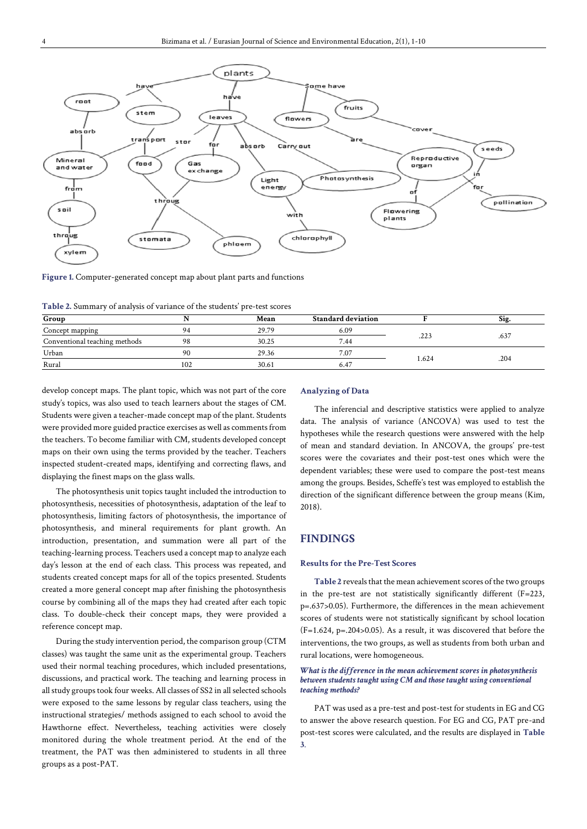

**Figure 1.** Computer-generated concept map about plant parts and functions

**Table 2.** Summary of analysis of variance of the students' pre-test scores

| Group                         |     | Mean  | <b>Standard deviation</b> |       | Sig. |
|-------------------------------|-----|-------|---------------------------|-------|------|
| Concept mapping               | QΔ  | 29.79 | 6.09                      |       |      |
| Conventional teaching methods | 98  | 30.25 | 7.44                      | .223  | .637 |
| Urban                         | 90  | 29.36 | 7.07                      |       |      |
| Rural                         | 102 | 30.61 | 6.47                      | 1.624 | .204 |

develop concept maps. The plant topic, which was not part of the core study's topics, was also used to teach learners about the stages of CM. Students were given a teacher-made concept map of the plant. Students were provided more guided practice exercises as well as comments from the teachers. To become familiar with CM, students developed concept maps on their own using the terms provided by the teacher. Teachers inspected student-created maps, identifying and correcting flaws, and displaying the finest maps on the glass walls.

The photosynthesis unit topics taught included the introduction to photosynthesis, necessities of photosynthesis, adaptation of the leaf to photosynthesis, limiting factors of photosynthesis, the importance of photosynthesis, and mineral requirements for plant growth. An introduction, presentation, and summation were all part of the teaching-learning process. Teachers used a concept map to analyze each day's lesson at the end of each class. This process was repeated, and students created concept maps for all of the topics presented. Students created a more general concept map after finishing the photosynthesis course by combining all of the maps they had created after each topic class. To double-check their concept maps, they were provided a reference concept map.

During the study intervention period, the comparison group (CTM classes) was taught the same unit as the experimental group. Teachers used their normal teaching procedures, which included presentations, discussions, and practical work. The teaching and learning process in all study groups took four weeks. All classes of SS2 in all selected schools were exposed to the same lessons by regular class teachers, using the instructional strategies/ methods assigned to each school to avoid the Hawthorne effect. Nevertheless, teaching activities were closely monitored during the whole treatment period. At the end of the treatment, the PAT was then administered to students in all three groups as a post-PAT.

#### **Analyzing of Data**

The inferencial and descriptive statistics were applied to analyze data. The analysis of variance (ANCOVA) was used to test the hypotheses while the research questions were answered with the help of mean and standard deviation. In ANCOVA, the groups' pre-test scores were the covariates and their post-test ones which were the dependent variables; these were used to compare the post-test means among the groups. Besides, Scheffe's test was employed to establish the direction of the significant difference between the group means (Kim, 2018).

# **FINDINGS**

#### **Results for the Pre-Test Scores**

**Table 2** reveals that the mean achievement scores of the two groups in the pre-test are not statistically significantly different (F=223, p=.637>0.05). Furthermore, the differences in the mean achievement scores of students were not statistically significant by school location (F=1.624, p=.204>0.05). As a result, it was discovered that before the interventions, the two groups, as well as students from both urban and rural locations, were homogeneous.

#### *What is the difference in the mean achievement scores in photosynthesis between students taught using CM and those taught using conventional teaching methods?*

PAT was used as a pre-test and post-test for students in EG and CG to answer the above research question. For EG and CG, PAT pre-and post-test scores were calculated, and the results are displayed in **Table 3**.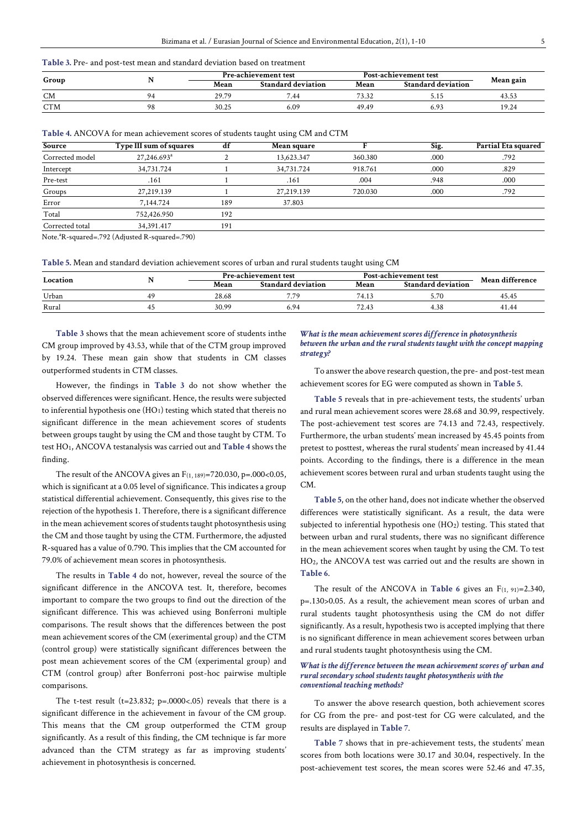#### **Table 3.** Pre- and post-test mean and standard deviation based on treatment

| Group      |    | <b>Pre-achievement test</b> |                           | Post-achievement test | Mean gain                 |       |
|------------|----|-----------------------------|---------------------------|-----------------------|---------------------------|-------|
|            |    | Mean                        | <b>Standard deviation</b> | Mean                  | <b>Standard deviation</b> |       |
| <b>CM</b>  |    | 29.79                       | 7.44                      | 73.32                 | J.I.                      | 43.53 |
| <b>CTM</b> | Ζ٥ | 30.25                       | 6.09                      | 49.49                 |                           | 19.24 |

| Table 4. ANCOVA for mean achievement scores of students taught using CM and CTM |  |  |  |
|---------------------------------------------------------------------------------|--|--|--|
|---------------------------------------------------------------------------------|--|--|--|

| Source          | Type III sum of squares |     | Mean square |         | Sig. | Partial Eta squared |
|-----------------|-------------------------|-----|-------------|---------|------|---------------------|
| Corrected model | 27,246.693 <sup>a</sup> |     | 13,623.347  | 360.380 | .000 | .792                |
| Intercept       | 34,731.724              |     | 34,731.724  | 918.761 | .000 | .829                |
| Pre-test        | .161                    |     | .161        | .004    | .948 | .000                |
| Groups          | 27,219.139              |     | 27,219.139  | 720.030 | .000 | .792                |
| Error           | 7,144.724               | 189 | 37.803      |         |      |                     |
| Total           | 752,426.950             | 192 |             |         |      |                     |
| Corrected total | 34,391.417              | 191 |             |         |      |                     |

Note.<sup>a</sup>R-squared=.792 (Adjusted R-squared=.790)

**Table 5.** Mean and standard deviation achievement scores of urban and rural students taught using CM

|          | . . | <b>Pre-achievement test</b> |                           | <b>Post-achievement test</b> | Mean difference           |       |
|----------|-----|-----------------------------|---------------------------|------------------------------|---------------------------|-------|
| Location |     | Mean                        | <b>Standard deviation</b> | Mean                         | <b>Standard deviation</b> |       |
| Urban    |     | 28.68                       | 770                       | 74.1                         |                           | 45.45 |
| Rural    |     | 30.99                       | 6.94                      | 72.4.                        | 4.38                      | 41.44 |

**Table 3** shows that the mean achievement score of students inthe CM group improved by 43.53, while that of the CTM group improved by 19.24. These mean gain show that students in CM classes outperformed students in CTM classes.

However, the findings in **Table 3** do not show whether the observed differences were significant. Hence, the results were subjected to inferential hypothesis one (HO<sub>1</sub>) testing which stated that thereis no significant difference in the mean achievement scores of students between groups taught by using the CM and those taught by CTM. To test HO1, ANCOVA testanalysis was carried out and **Table 4** shows the finding.

The result of the ANCOVA gives an  $F_{(1, 189)} = 720.030$ , p=.000<0.05, which is significant at a 0.05 level of significance. This indicates a group statistical differential achievement. Consequently, this gives rise to the rejection of the hypothesis 1. Therefore, there is a significant difference in the mean achievement scores of students taught photosynthesis using the CM and those taught by using the CTM. Furthermore, the adjusted R-squared has a value of 0.790. This implies that the CM accounted for 79.0% of achievement mean scores in photosynthesis.

The results in **Table 4** do not, however, reveal the source of the significant difference in the ANCOVA test. It, therefore, becomes important to compare the two groups to find out the direction of the significant difference. This was achieved using Bonferroni multiple comparisons. The result shows that the differences between the post mean achievement scores of the CM (exerimental group) and the CTM (control group) were statistically significant differences between the post mean achievement scores of the CM (experimental group) and CTM (control group) after Bonferroni post-hoc pairwise multiple comparisons.

The t-test result (t=23.832; p=.0000<.05) reveals that there is a significant difference in the achievement in favour of the CM group. This means that the CM group outperformed the CTM group significantly. As a result of this finding, the CM technique is far more advanced than the CTM strategy as far as improving students' achievement in photosynthesis is concerned.

#### *What is the mean achievement scores difference in photosynthesis between the urban and the rural students taught with the concept mapping strategy?*

To answer the above research question, the pre- and post-test mean achievement scores for EG were computed as shown in **Table 5**.

**Table 5** reveals that in pre-achievement tests, the students' urban and rural mean achievement scores were 28.68 and 30.99, respectively. The post-achievement test scores are 74.13 and 72.43, respectively. Furthermore, the urban students' mean increased by 45.45 points from pretest to posttest, whereas the rural students' mean increased by 41.44 points. According to the findings, there is a difference in the mean achievement scores between rural and urban students taught using the CM.

**Table 5**, on the other hand, does not indicate whether the observed differences were statistically significant. As a result, the data were subjected to inferential hypothesis one (HO<sub>2</sub>) testing. This stated that between urban and rural students, there was no significant difference in the mean achievement scores when taught by using the CM. To test HO2, the ANCOVA test was carried out and the results are shown in **Table 6**.

The result of the ANCOVA in **Table 6** gives an  $F(1, 91)=2.340$ , p=.130>0.05. As a result, the achievement mean scores of urban and rural students taught photosynthesis using the CM do not differ significantly. As a result, hypothesis two is accepted implying that there is no significant difference in mean achievement scores between urban and rural students taught photosynthesis using the CM.

#### *What is the difference between the mean achievement scores of urban and rural secondary school students taught photosynthesis with the conventional teaching methods?*

To answer the above research question, both achievement scores for CG from the pre- and post-test for CG were calculated, and the results are displayed in **Table 7**.

**Table 7** shows that in pre-achievement tests, the students' mean scores from both locations were 30.17 and 30.04, respectively. In the post-achievement test scores, the mean scores were 52.46 and 47.35,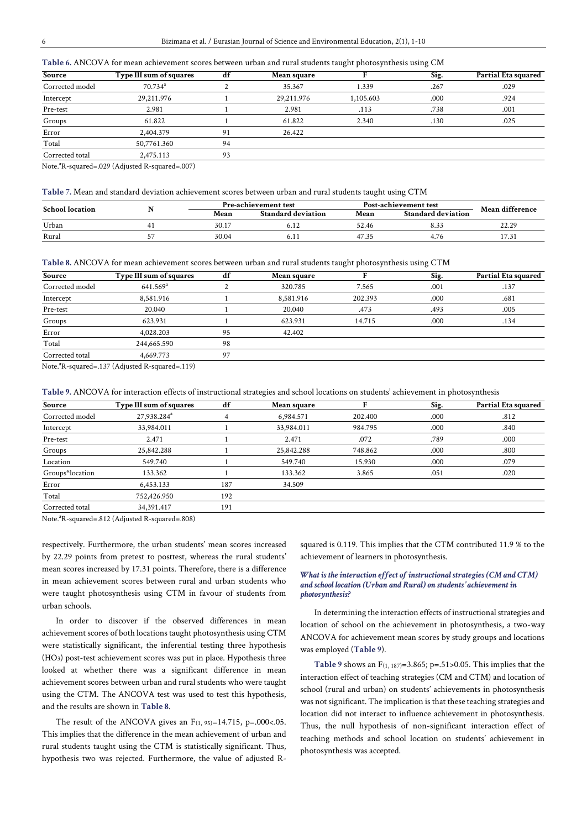| Table 6. ANCOVA for mean achievement scores between urban and rural students taught photosynthesis using CM |  |  |  |
|-------------------------------------------------------------------------------------------------------------|--|--|--|
|-------------------------------------------------------------------------------------------------------------|--|--|--|

| Source                     | Type III sum of squares | df | <b>Mean square</b> |           | Sig. | Partial Eta squared |
|----------------------------|-------------------------|----|--------------------|-----------|------|---------------------|
| Corrected model            | $70.734^{\circ}$        |    | 35.367             | 1.339     | .267 | .029                |
| Intercept                  | 29,211.976              |    | 29,211.976         | 1,105.603 | .000 | .924                |
| Pre-test                   | 2.981                   |    | 2.981              | .113      | .738 | .001                |
| Groups                     | 61.822                  |    | 61.822             | 2.340     | .130 | .025                |
| Error                      | 2.404.379               | 91 | 26.422             |           |      |                     |
| Total                      | 50,7761.360             | 94 |                    |           |      |                     |
| Corrected total            | 2,475.113               | 93 |                    |           |      |                     |
| $\mathbf{r} = 3\mathbf{r}$ | 1.00011111111           |    |                    |           |      |                     |

Note.<sup>a</sup>R-squared=.029 (Adjusted R-squared=.007)

#### **Table 7.** Mean and standard deviation achievement scores between urban and rural students taught using CTM

| <b>School location</b> | Pre-achievement test |                           | <b>Post-achievement test</b> | Mean difference           |       |
|------------------------|----------------------|---------------------------|------------------------------|---------------------------|-------|
|                        | Mean                 | <b>Standard deviation</b> | Mean                         | <b>Standard deviation</b> |       |
| Urban                  | 30.17                | 0.12                      | 52.46                        | دد.ه                      | 22.29 |
| Rural                  | 30.04                | $U_{\bullet}$ 1.          | 47.35                        |                           | 17.31 |

**Table 8.** ANCOVA for mean achievement scores between urban and rural students taught photosynthesis using CTM

| Type III sum of squares | df | <b>Mean square</b> |         | Sig. | Partial Eta squared |
|-------------------------|----|--------------------|---------|------|---------------------|
| $641.569^{\rm a}$       |    | 320.785            | 7.565   | .001 | .137                |
| 8,581.916               |    | 8,581.916          | 202.393 | .000 | .681                |
| 20.040                  |    | 20.040             | .473    | .493 | .005                |
| 623.931                 |    | 623.931            | 14.715  | .000 | .134                |
| 4.028.203               | 95 | 42.402             |         |      |                     |
| 244,665.590             | 98 |                    |         |      |                     |
| 4,669.773               | 97 |                    |         |      |                     |
|                         |    |                    |         |      |                     |

Note.<sup>a</sup>R-squared=.137 (Adjusted R-squared=.119)

**Table 9.** ANCOVA for interaction effects of instructional strategies and school locations on students' achievement in photosynthesis

| Source          | Type III sum of squares | df  | Mean square |         | Sig. | Partial Eta squared |
|-----------------|-------------------------|-----|-------------|---------|------|---------------------|
| Corrected model | 27,938.284 <sup>a</sup> |     | 6,984.571   | 202,400 | .000 | .812                |
| Intercept       | 33,984.011              |     | 33,984.011  | 984.795 | .000 | .840                |
| Pre-test        | 2.471                   |     | 2.471       | .072    | .789 | .000                |
| Groups          | 25,842.288              |     | 25,842.288  | 748.862 | .000 | .800                |
| Location        | 549.740                 |     | 549.740     | 15.930  | .000 | .079                |
| Groups*location | 133.362                 |     | 133.362     | 3.865   | .051 | .020                |
| Error           | 6,453.133               | 187 | 34.509      |         |      |                     |
| Total           | 752,426.950             | 192 |             |         |      |                     |
| Corrected total | 34,391.417              | 191 |             |         |      |                     |
|                 |                         |     |             |         |      |                     |

Note.<sup>a</sup>R-squared=.812 (Adjusted R-squared=.808)

respectively. Furthermore, the urban students' mean scores increased by 22.29 points from pretest to posttest, whereas the rural students' mean scores increased by 17.31 points. Therefore, there is a difference in mean achievement scores between rural and urban students who were taught photosynthesis using CTM in favour of students from urban schools.

In order to discover if the observed differences in mean achievement scores of both locations taught photosynthesis using CTM were statistically significant, the inferential testing three hypothesis (HO3) post-test achievement scores was put in place. Hypothesis three looked at whether there was a significant difference in mean achievement scores between urban and rural students who were taught using the CTM. The ANCOVA test was used to test this hypothesis, and the results are shown in **Table 8**.

The result of the ANCOVA gives an  $F_{(1, 95)=14.715}$ , p=.000<.05. This implies that the difference in the mean achievement of urban and rural students taught using the CTM is statistically significant. Thus, hypothesis two was rejected. Furthermore, the value of adjusted R-

squared is 0.119. This implies that the CTM contributed 11.9 % to the achievement of learners in photosynthesis.

#### *What is the interaction effect of instructional strategies (CM and CTM) and school location (Urban and Rural) on students' achievement in photosynthesis?*

In determining the interaction effects of instructional strategies and location of school on the achievement in photosynthesis, a two-way ANCOVA for achievement mean scores by study groups and locations was employed (**Table 9**).

**Table 9** shows an F(1, 187)=3.865; p=.51>0.05. This implies that the interaction effect of teaching strategies (CM and CTM) and location of school (rural and urban) on students' achievements in photosynthesis was not significant. The implication is that these teaching strategies and location did not interact to influence achievement in photosynthesis. Thus, the null hypothesis of non-significant interaction effect of teaching methods and school location on students' achievement in photosynthesis was accepted.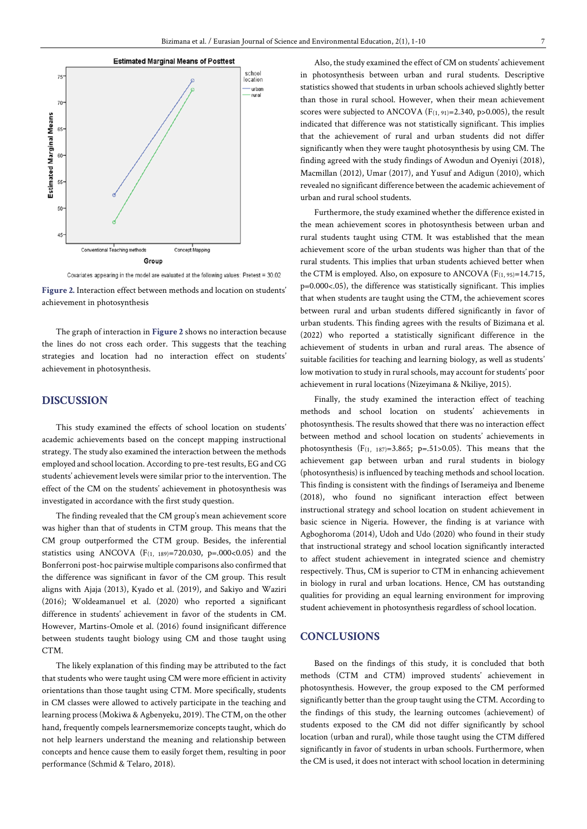

Covariates appearing in the model are evaluated at the following values: Pretest = 30.02

**Figure 2.** Interaction effect between methods and location on students' achievement in photosynthesis

The graph of interaction in **Figure 2** shows no interaction because the lines do not cross each order. This suggests that the teaching strategies and location had no interaction effect on students' achievement in photosynthesis.

## **DISCUSSION**

This study examined the effects of school location on students' academic achievements based on the concept mapping instructional strategy. The study also examined the interaction between the methods employed and school location. According to pre-test results, EG and CG students' achievement levels were similar prior to the intervention. The effect of the CM on the students' achievement in photosynthesis was investigated in accordance with the first study question.

The finding revealed that the CM group's mean achievement score was higher than that of students in CTM group. This means that the CM group outperformed the CTM group. Besides, the inferential statistics using ANCOVA ( $F_{(1, 189)} = 720.030$ ,  $p = .000 < 0.05$ ) and the Bonferroni post-hoc pairwise multiple comparisons also confirmed that the difference was significant in favor of the CM group. This result aligns with Ajaja (2013), Kyado et al. (2019), and Sakiyo and Waziri (2016); Woldeamanuel et al. (2020) who reported a significant difference in students' achievement in favor of the students in CM. However, Martins-Omole et al. (2016) found insignificant difference between students taught biology using CM and those taught using CTM.

The likely explanation of this finding may be attributed to the fact that students who were taught using CM were more efficient in activity orientations than those taught using CTM. More specifically, students in CM classes were allowed to actively participate in the teaching and learning process (Mokiwa & Agbenyeku, 2019). The CTM, on the other hand, frequently compels learnersmemorize concepts taught, which do not help learners understand the meaning and relationship between concepts and hence cause them to easily forget them, resulting in poor performance (Schmid & Telaro, 2018).

Also, the study examined the effect of CM on students' achievement in photosynthesis between urban and rural students. Descriptive statistics showed that students in urban schools achieved slightly better than those in rural school. However, when their mean achievement scores were subjected to ANCOVA ( $F(1, 91)=2.340$ ,  $p>0.005$ ), the result indicated that difference was not statistically significant. This implies that the achievement of rural and urban students did not differ significantly when they were taught photosynthesis by using CM. The finding agreed with the study findings of Awodun and Oyeniyi (2018), Macmillan (2012), Umar (2017), and Yusuf and Adigun (2010), which revealed no significant difference between the academic achievement of urban and rural school students.

Furthermore, the study examined whether the difference existed in the mean achievement scores in photosynthesis between urban and rural students taught using CTM. It was established that the mean achievement score of the urban students was higher than that of the rural students. This implies that urban students achieved better when the CTM is employed. Also, on exposure to ANCOVA  $(F_{(1, 95)} = 14.715,$ p=0.000<.05), the difference was statistically significant. This implies that when students are taught using the CTM, the achievement scores between rural and urban students differed significantly in favor of urban students. This finding agrees with the results of Bizimana et al. (2022) who reported a statistically significant difference in the achievement of students in urban and rural areas. The absence of suitable facilities for teaching and learning biology, as well as students' low motivation to study in rural schools, may account for students' poor achievement in rural locations (Nizeyimana & Nkiliye, 2015).

Finally, the study examined the interaction effect of teaching methods and school location on students' achievements in photosynthesis. The results showed that there was no interaction effect between method and school location on students' achievements in photosynthesis  $(F_{(1, 187)=3.865; p=.51>0.05)$ . This means that the achievement gap between urban and rural students in biology (photosynthesis) is influenced by teaching methods and school location. This finding is consistent with the findings of Iserameiya and Ibeneme (2018), who found no significant interaction effect between instructional strategy and school location on student achievement in basic science in Nigeria. However, the finding is at variance with Agboghoroma (2014), Udoh and Udo (2020) who found in their study that instructional strategy and school location significantly interacted to affect student achievement in integrated science and chemistry respectively. Thus, CM is superior to CTM in enhancing achievement in biology in rural and urban locations. Hence, CM has outstanding qualities for providing an equal learning environment for improving student achievement in photosynthesis regardless of school location.

# **CONCLUSIONS**

Based on the findings of this study, it is concluded that both methods (CTM and CTM) improved students' achievement in photosynthesis. However, the group exposed to the CM performed significantly better than the group taught using the CTM. According to the findings of this study, the learning outcomes (achievement) of students exposed to the CM did not differ significantly by school location (urban and rural), while those taught using the CTM differed significantly in favor of students in urban schools. Furthermore, when the CM is used, it does not interact with school location in determining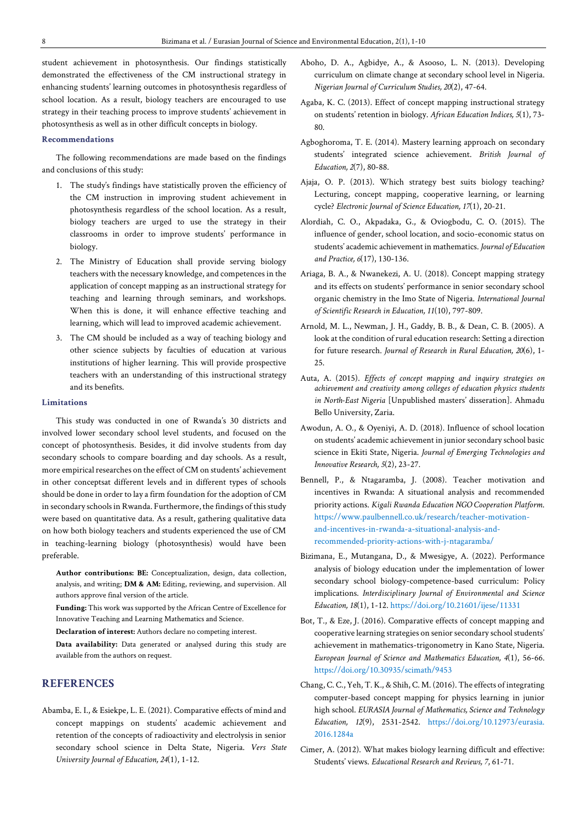student achievement in photosynthesis. Our findings statistically demonstrated the effectiveness of the CM instructional strategy in enhancing students' learning outcomes in photosynthesis regardless of school location. As a result, biology teachers are encouraged to use strategy in their teaching process to improve students' achievement in photosynthesis as well as in other difficult concepts in biology.

#### **Recommendations**

The following recommendations are made based on the findings and conclusions of this study:

- 1. The study's findings have statistically proven the efficiency of the CM instruction in improving student achievement in photosynthesis regardless of the school location. As a result, biology teachers are urged to use the strategy in their classrooms in order to improve students' performance in biology.
- 2. The Ministry of Education shall provide serving biology teachers with the necessary knowledge, and competences in the application of concept mapping as an instructional strategy for teaching and learning through seminars, and workshops. When this is done, it will enhance effective teaching and learning, which will lead to improved academic achievement.
- 3. The CM should be included as a way of teaching biology and other science subjects by faculties of education at various institutions of higher learning. This will provide prospective teachers with an understanding of this instructional strategy and its benefits.

#### **Limitations**

This study was conducted in one of Rwanda's 30 districts and involved lower secondary school level students, and focused on the concept of photosynthesis. Besides, it did involve students from day secondary schools to compare boarding and day schools. As a result, more empirical researches on the effect of CM on students' achievement in other conceptsat different levels and in different types of schools should be done in order to lay a firm foundation for the adoption of CM in secondary schools in Rwanda. Furthermore, the findings of this study were based on quantitative data. As a result, gathering qualitative data on how both biology teachers and students experienced the use of CM in teaching-learning biology (photosynthesis) would have been preferable.

**Author contributions: BE:** Conceptualization, design, data collection, analysis, and writing; **DM & AM:** Editing, reviewing, and supervision. All authors approve final version of the article.

**Funding:** This work was supported by the African Centre of Excellence for Innovative Teaching and Learning Mathematics and Science.

**Declaration of interest:** Authors declare no competing interest.

**Data availability:** Data generated or analysed during this study are available from the authors on request.

# **REFERENCES**

Abamba, E. I., & Esiekpe, L. E. (2021). Comparative effects of mind and concept mappings on students' academic achievement and retention of the concepts of radioactivity and electrolysis in senior secondary school science in Delta State, Nigeria. *Vers State University Journal of Education, 24*(1), 1-12.

- Aboho, D. A., Agbidye, A., & Asooso, L. N. (2013). Developing curriculum on climate change at secondary school level in Nigeria. *Nigerian Journal of Curriculum Studies, 20*(2), 47-64.
- Agaba, K. C. (2013). Effect of concept mapping instructional strategy on students' retention in biology. *African Education Indices, 5*(1), 73- 80.
- Agboghoroma, T. E. (2014). Mastery learning approach on secondary students' integrated science achievement. *British Journal of Education, 2*(7), 80-88.
- Ajaja, O. P. (2013). Which strategy best suits biology teaching? Lecturing, concept mapping, cooperative learning, or learning cycle? *Electronic Journal of Science Education, 17*(1), 20-21.
- Alordiah, C. O., Akpadaka, G., & Oviogbodu, C. O. (2015). The influence of gender, school location, and socio-economic status on students' academic achievement in mathematics. *Journal of Education and Practice, 6*(17), 130-136.
- Ariaga, B. A., & Nwanekezi, A. U. (2018). Concept mapping strategy and its effects on students' performance in senior secondary school organic chemistry in the Imo State of Nigeria. *International Journal of Scientific Research in Education, 11*(10), 797-809.
- Arnold, M. L., Newman, J. H., Gaddy, B. B., & Dean, C. B. (2005). A look at the condition of rural education research: Setting a direction for future research. *Journal of Research in Rural Education, 20*(6), 1- 25.
- Auta, A. (2015). *Effects of concept mapping and inquiry strategies on achievement and creativity among colleges of education physics students in North-East Nigeria* [Unpublished masters' disseration]. Ahmadu Bello University, Zaria.
- Awodun, A. O., & Oyeniyi, A. D. (2018). Influence of school location on students' academic achievement in junior secondary school basic science in Ekiti State, Nigeria. *Journal of Emerging Technologies and Innovative Research, 5*(2), 23-27.
- Bennell, P., & Ntagaramba, J. (2008). Teacher motivation and incentives in Rwanda: A situational analysis and recommended priority actions. *Kigali Rwanda Education NGO Cooperation Platform*. [https://www.paulbennell.co.uk/research/teacher-motivation](https://www.paulbennell.co.uk/research/teacher-motivation-and-incentives-in-rwanda-a-situational-analysis-and-recommended-priority-actions-with-j-ntagaramba/)[and-incentives-in-rwanda-a-situational-analysis-and](https://www.paulbennell.co.uk/research/teacher-motivation-and-incentives-in-rwanda-a-situational-analysis-and-recommended-priority-actions-with-j-ntagaramba/)[recommended-priority-actions-with-j-ntagaramba/](https://www.paulbennell.co.uk/research/teacher-motivation-and-incentives-in-rwanda-a-situational-analysis-and-recommended-priority-actions-with-j-ntagaramba/)
- Bizimana, E., Mutangana, D., & Mwesigye, A. (2022). Performance analysis of biology education under the implementation of lower secondary school biology-competence-based curriculum: Policy implications. *Interdisciplinary Journal of Environmental and Science Education, 18*(1), 1-12[. https://doi.org/10.21601/ijese/11331](https://doi.org/10.21601/ijese/11331)
- Bot, T., & Eze, J. (2016). Comparative effects of concept mapping and cooperative learning strategies on senior secondary school students' achievement in mathematics-trigonometry in Kano State, Nigeria. *European Journal of Science and Mathematics Education, 4*(1), 56-66. <https://doi.org/10.30935/scimath/9453>
- Chang, C. C., Yeh, T. K., & Shih, C. M. (2016). The effects of integrating computer-based concept mapping for physics learning in junior high school. *EURASIA Journal of Mathematics, Science and Technology Education, 12*(9), 2531-2542. [https://doi.org/10.12973/eurasia.](https://doi.org/10.12973/eurasia.2016.1284a) [2016.1284a](https://doi.org/10.12973/eurasia.2016.1284a)
- Cimer, A. (2012). What makes biology learning difficult and effective: Students' views. *Educational Research and Reviews, 7*, 61-71.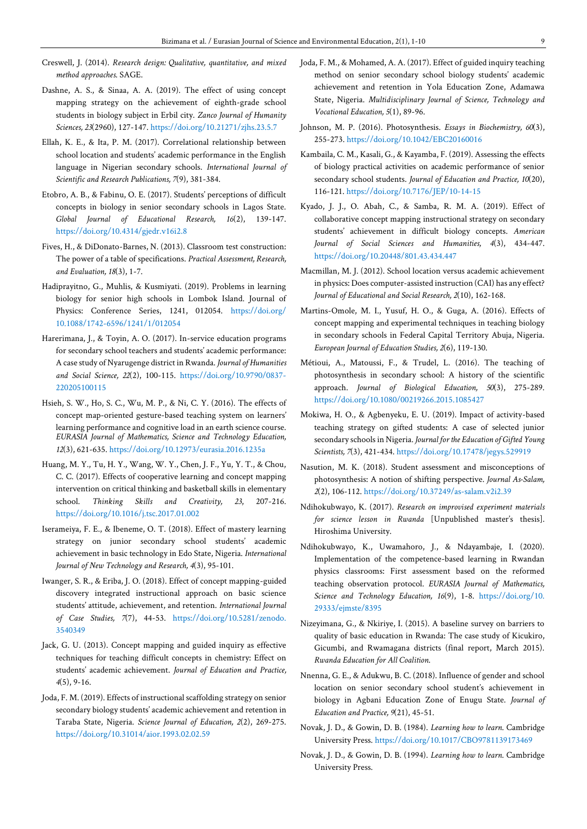- Creswell, J. (2014). *Research design: Qualitative, quantitative, and mixed method approaches*. SAGE.
- Dashne, A. S., & Sinaa, A. A. (2019). The effect of using concept mapping strategy on the achievement of eighth-grade school students in biology subject in Erbil city. *Zanco Journal of Humanity Sciences, 23*(2960), 127-147. <https://doi.org/10.21271/zjhs.23.5.7>
- Ellah, K. E., & Ita, P. M. (2017). Correlational relationship between school location and students' academic performance in the English language in Nigerian secondary schools. *International Journal of Scientific and Research Publications, 7*(9), 381-384.
- Etobro, A. B., & Fabinu, O. E. (2017). Students' perceptions of difficult concepts in biology in senior secondary schools in Lagos State. *Global Journal of Educational Research, 16*(2), 139-147. <https://doi.org/10.4314/gjedr.v16i2.8>
- Fives, H., & DiDonato-Barnes, N. (2013). Classroom test construction: The power of a table of specifications. *Practical Assessment, Research, and Evaluation, 18*(3), 1-7.
- Hadiprayitno, G., Muhlis, & Kusmiyati. (2019). Problems in learning biology for senior high schools in Lombok Island. Journal of Physics: Conference Series, 1241, 012054. [https://doi.org/](https://doi.org/10.1088/1742-6596/1241/1/012054) [10.1088/1742-6596/1241/1/012054](https://doi.org/10.1088/1742-6596/1241/1/012054)
- Harerimana, J., & Toyin, A. O. (2017). In-service education programs for secondary school teachers and students' academic performance: A case study of Nyarugenge district in Rwanda. *Journal of Humanities and Social Science, 22*(2), 100-115. [https://doi.org/10.9790/0837-](https://doi.org/10.9790/0837-220205100115) [220205100115](https://doi.org/10.9790/0837-220205100115)
- Hsieh, S. W., Ho, S. C., Wu, M. P., & Ni, C. Y. (2016). The effects of concept map-oriented gesture-based teaching system on learners' learning performance and cognitive load in an earth science course. *EURASIA Journal of Mathematics, Science and Technology Education, 12*(3), 621-635.<https://doi.org/10.12973/eurasia.2016.1235a>
- Huang, M. Y., Tu, H. Y., Wang, W. Y., Chen, J. F., Yu, Y. T., & Chou, C. C. (2017). Effects of cooperative learning and concept mapping intervention on critical thinking and basketball skills in elementary school. *Thinking Skills and Creativity, 23*, 207-216. <https://doi.org/10.1016/j.tsc.2017.01.002>
- Iserameiya, F. E., & Ibeneme, O. T. (2018). Effect of mastery learning strategy on junior secondary school students' academic achievement in basic technology in Edo State, Nigeria. *International Journal of New Technology and Research, 4*(3), 95-101.
- Iwanger, S. R., & Eriba, J. O. (2018). Effect of concept mapping-guided discovery integrated instructional approach on basic science students' attitude, achievement, and retention. *International Journal of Case Studies, 7*(7), 44-53. [https://doi.org/10.5281/zenodo.](https://doi.org/10.5281/zenodo.3540349) [3540349](https://doi.org/10.5281/zenodo.3540349)
- Jack, G. U. (2013). Concept mapping and guided inquiry as effective techniques for teaching difficult concepts in chemistry: Effect on students' academic achievement. *Journal of Education and Practice, 4*(5), 9-16.
- Joda, F. M. (2019). Effects of instructional scaffolding strategy on senior secondary biology students' academic achievement and retention in Taraba State, Nigeria. *Science Journal of Education, 2*(2), 269-275. <https://doi.org/10.31014/aior.1993.02.02.59>
- Joda, F. M., & Mohamed, A. A. (2017). Effect of guided inquiry teaching method on senior secondary school biology students' academic achievement and retention in Yola Education Zone, Adamawa State, Nigeria. *Multidisciplinary Journal of Science, Technology and Vocational Education, 5*(1), 89-96.
- Johnson, M. P. (2016). Photosynthesis. *Essays in Biochemistry, 60*(3), 255-273.<https://doi.org/10.1042/EBC20160016>
- Kambaila, C. M., Kasali, G., & Kayamba, F. (2019). Assessing the effects of biology practical activities on academic performance of senior secondary school students. *Journal of Education and Practice, 10*(20), 116-121.<https://doi.org/10.7176/JEP/10-14-15>
- Kyado, J. J., O. Abah, C., & Samba, R. M. A. (2019). Effect of collaborative concept mapping instructional strategy on secondary students' achievement in difficult biology concepts. *American Journal of Social Sciences and Humanities, 4*(3), 434-447. <https://doi.org/10.20448/801.43.434.447>
- Macmillan, M. J. (2012). School location versus academic achievement in physics: Does computer-assisted instruction (CAI) has any effect? *Journal of Educational and Social Research, 2*(10), 162-168.
- Martins-Omole, M. I., Yusuf, H. O., & Guga, A. (2016). Effects of concept mapping and experimental techniques in teaching biology in secondary schools in Federal Capital Territory Abuja, Nigeria. *European Journal of Education Studies, 2*(6), 119-130.
- Métioui, A., Matoussi, F., & Trudel, L. (2016). The teaching of photosynthesis in secondary school: A history of the scientific approach. *Journal of Biological Education, 50*(3), 275-289. <https://doi.org/10.1080/00219266.2015.1085427>
- Mokiwa, H. O., & Agbenyeku, E. U. (2019). Impact of activity-based teaching strategy on gifted students: A case of selected junior secondary schools in Nigeria. *Journal for the Education of Gifted Young Scientists, 7*(3), 421-434[. https://doi.org/10.17478/jegys.529919](https://doi.org/10.17478/jegys.529919)
- Nasution, M. K. (2018). Student assessment and misconceptions of photosynthesis: A notion of shifting perspective. *Journal As-Salam, 2*(2), 106-112[. https://doi.org/10.37249/as-salam.v2i2.39](https://doi.org/10.37249/as-salam.v2i2.39)
- Ndihokubwayo, K. (2017). *Research on improvised experiment materials for science lesson in Rwanda* [Unpublished master's thesis]. Hiroshima University.
- Ndihokubwayo, K., Uwamahoro, J., & Ndayambaje, I. (2020). Implementation of the competence-based learning in Rwandan physics classrooms: First assessment based on the reformed teaching observation protocol. *EURASIA Journal of Mathematics, Science and Technology Education, 16*(9), 1-8. [https://doi.org/10.](https://doi.org/10.29333/ejmste/8395) [29333/ejmste/8395](https://doi.org/10.29333/ejmste/8395)
- Nizeyimana, G., & Nkiriye, I. (2015). A baseline survey on barriers to quality of basic education in Rwanda: The case study of Kicukiro, Gicumbi, and Rwamagana districts (final report, March 2015). *Rwanda Education for All Coalition*.
- Nnenna, G. E., & Adukwu, B. C. (2018). Influence of gender and school location on senior secondary school student's achievement in biology in Agbani Education Zone of Enugu State. *Journal of Education and Practice, 9*(21), 45-51.
- Novak, J. D., & Gowin, D. B. (1984). *Learning how to learn*. Cambridge University Press. <https://doi.org/10.1017/CBO9781139173469>
- Novak, J. D., & Gowin, D. B. (1994). *Learning how to learn*. Cambridge University Press.